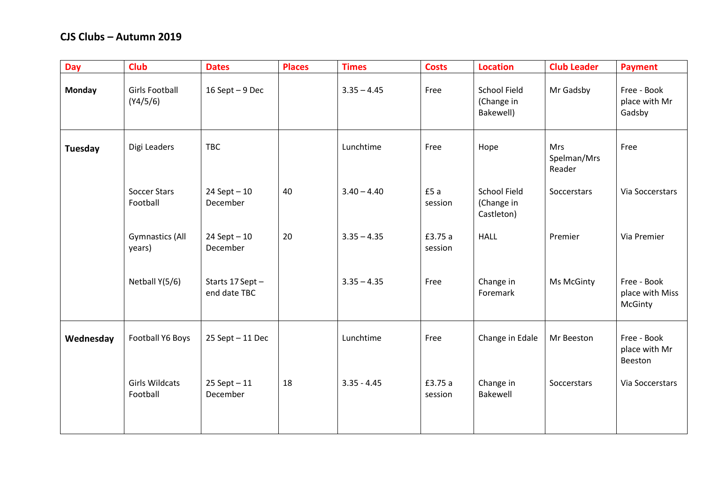## **CJS Clubs – Autumn 2019**

| <b>Day</b>    | <b>Club</b>                       | <b>Dates</b>                    | <b>Places</b> | <b>Times</b>  | <b>Costs</b>       | <b>Location</b>                                 | <b>Club Leader</b>                  | <b>Payment</b>                            |
|---------------|-----------------------------------|---------------------------------|---------------|---------------|--------------------|-------------------------------------------------|-------------------------------------|-------------------------------------------|
| <b>Monday</b> | <b>Girls Football</b><br>(Y4/5/6) | 16 Sept $-9$ Dec                |               | $3.35 - 4.45$ | Free               | <b>School Field</b><br>(Change in<br>Bakewell)  | Mr Gadsby                           | Free - Book<br>place with Mr<br>Gadsby    |
| Tuesday       | Digi Leaders                      | <b>TBC</b>                      |               | Lunchtime     | Free               | Hope                                            | <b>Mrs</b><br>Spelman/Mrs<br>Reader | Free                                      |
|               | <b>Soccer Stars</b><br>Football   | $24$ Sept $-10$<br>December     | 40            | $3.40 - 4.40$ | £5a<br>session     | <b>School Field</b><br>(Change in<br>Castleton) | Soccerstars                         | Via Soccerstars                           |
|               | <b>Gymnastics (All</b><br>years)  | $24$ Sept $-10$<br>December     | 20            | $3.35 - 4.35$ | £3.75 a<br>session | <b>HALL</b>                                     | Premier                             | Via Premier                               |
|               | Netball Y(5/6)                    | Starts 17 Sept-<br>end date TBC |               | $3.35 - 4.35$ | Free               | Change in<br>Foremark                           | Ms McGinty                          | Free - Book<br>place with Miss<br>McGinty |
| Wednesday     | Football Y6 Boys                  | $25$ Sept $-11$ Dec             |               | Lunchtime     | Free               | Change in Edale                                 | Mr Beeston                          | Free - Book<br>place with Mr<br>Beeston   |
|               | <b>Girls Wildcats</b><br>Football | $25$ Sept $-11$<br>December     | 18            | $3.35 - 4.45$ | £3.75 a<br>session | Change in<br>Bakewell                           | Soccerstars                         | Via Soccerstars                           |